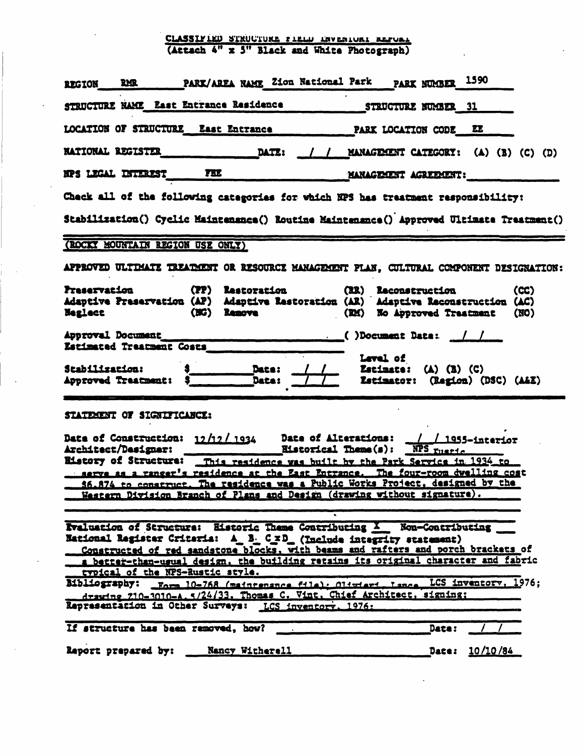## CLASSIFIED STRUCTURE FIELD ENVERIORI REPORT (Attach 4" x 3" Black and White Photograph)

| REGION RMR PARK/AREA NAME Zion National Park PARK NUMBER 1590                                                                                                                                                                                                                                                                                                                                                                                                                                                                                                                         |                                                                                                                                                                                                                                                                                                                                                                                                        |  |  |  |  |  |
|---------------------------------------------------------------------------------------------------------------------------------------------------------------------------------------------------------------------------------------------------------------------------------------------------------------------------------------------------------------------------------------------------------------------------------------------------------------------------------------------------------------------------------------------------------------------------------------|--------------------------------------------------------------------------------------------------------------------------------------------------------------------------------------------------------------------------------------------------------------------------------------------------------------------------------------------------------------------------------------------------------|--|--|--|--|--|
| STRUCTURE NAME East Entrance Residence                                                                                                                                                                                                                                                                                                                                                                                                                                                                                                                                                | STRUCTURE NUMBER 31                                                                                                                                                                                                                                                                                                                                                                                    |  |  |  |  |  |
| LOCATION OF STRUCTURE East Entrance PARK LOCATION CODE EE                                                                                                                                                                                                                                                                                                                                                                                                                                                                                                                             |                                                                                                                                                                                                                                                                                                                                                                                                        |  |  |  |  |  |
|                                                                                                                                                                                                                                                                                                                                                                                                                                                                                                                                                                                       |                                                                                                                                                                                                                                                                                                                                                                                                        |  |  |  |  |  |
| NPS LEGAL INTEREST FEE MANAGEMENT AGREEMENT:                                                                                                                                                                                                                                                                                                                                                                                                                                                                                                                                          |                                                                                                                                                                                                                                                                                                                                                                                                        |  |  |  |  |  |
| Check all of the following categories for which NPS has treatment responsibility:                                                                                                                                                                                                                                                                                                                                                                                                                                                                                                     |                                                                                                                                                                                                                                                                                                                                                                                                        |  |  |  |  |  |
| Stabilization() Cyclic Maintenance() Routine Maintenance() Approved Ultimate Treatment()                                                                                                                                                                                                                                                                                                                                                                                                                                                                                              |                                                                                                                                                                                                                                                                                                                                                                                                        |  |  |  |  |  |
| (ROCKY MOUNTAIN REGION USE ONLY)                                                                                                                                                                                                                                                                                                                                                                                                                                                                                                                                                      |                                                                                                                                                                                                                                                                                                                                                                                                        |  |  |  |  |  |
| APPROVED ULTIMATE TREATMENT OR RESOURCE MANAGEMENT PLAN, CULTURAL COMPONENT DESIGNATION:                                                                                                                                                                                                                                                                                                                                                                                                                                                                                              |                                                                                                                                                                                                                                                                                                                                                                                                        |  |  |  |  |  |
| Preservation (PP) Restoration (RR) Reconstruction<br>Adaptive Preservation (AP) Adaptive Restoration (AR) Adaptive Reconstruction (AC)<br><b>Neglect</b>                                                                                                                                                                                                                                                                                                                                                                                                                              | (CC)<br>(NG) Remove (RM) No Approved Treatment (NO)                                                                                                                                                                                                                                                                                                                                                    |  |  |  |  |  |
| Approval Document<br>Estimated Treatment Costs                                                                                                                                                                                                                                                                                                                                                                                                                                                                                                                                        | $\sim$ ()Document Data: $\frac{1}{\sqrt{1-\frac{1}{1-\frac{1}{1-\frac{1}{1-\frac{1}{1-\frac{1}{1-\frac{1}{1-\frac{1}{1-\frac{1}{1-\frac{1}{1-\frac{1}{1-\frac{1}{1-\frac{1}{1-\frac{1}{1-\frac{1}{1-\frac{1}{1-\frac{1}{1-\frac{1}{1-\frac{1}{1-\frac{1}{1-\frac{1}{1-\frac{1}{1-\frac{1}{1-\frac{1}{1-\frac{1}{1-\frac{1}{1-\frac{1}{1-\frac{1}{1-\frac{1}{1-\frac{1}{1-\frac{1}{1-\frac{1}{1-\frac{$ |  |  |  |  |  |
| Stabilization: 3<br>Approved Traatment: 3<br>Data: 1. Data: 1. Estimator: (Region) (DSC) (A&E)                                                                                                                                                                                                                                                                                                                                                                                                                                                                                        | <b>Level</b> of                                                                                                                                                                                                                                                                                                                                                                                        |  |  |  |  |  |
| STATEMENT OF SIGNIFICANCE:                                                                                                                                                                                                                                                                                                                                                                                                                                                                                                                                                            |                                                                                                                                                                                                                                                                                                                                                                                                        |  |  |  |  |  |
| Date of Construction: 12/12/1934 Date of Alterations: 1 / 1955-interior<br>Architect/Designer: Eistorical Theme(s): NPS rustic Eistory of Structure: This residence was built by the Park Service in 1934 to<br>serve as a ranger's residence at the East Entrance. The four-room dwelling cost<br>56.874 to construct. The residence was a Public Works Project, designed by the<br>Western Division Branch of Plans and Design (drawing without signature).                                                                                                                         |                                                                                                                                                                                                                                                                                                                                                                                                        |  |  |  |  |  |
| Evaluation of Structure: Historic Theme Contributing X Non-Contributing<br>National Register Criteria: A_B. C_xD_(Include integrity statement)<br>Constructed of red sandstone blocks, with beams and rafters and porch brackets of<br>a better-than-usual design, the building retains its original character and fabric<br>typical of the NPS-Rustic style.<br>Bibliography: Form 10-768 (maintenance file): Oliwieri Lance LCS inventory, 1976;<br>drawine 710-3010-A. 5/24/33. Thomas C. Vint. Chief Architect, signing:<br>Representation in Other Surveys: LCS inventory. 1976: |                                                                                                                                                                                                                                                                                                                                                                                                        |  |  |  |  |  |
| If structure has been removed, how?                                                                                                                                                                                                                                                                                                                                                                                                                                                                                                                                                   | Date:                                                                                                                                                                                                                                                                                                                                                                                                  |  |  |  |  |  |
| Nancy Witherell<br>Report prepared by:                                                                                                                                                                                                                                                                                                                                                                                                                                                                                                                                                | Date: 10/10/84                                                                                                                                                                                                                                                                                                                                                                                         |  |  |  |  |  |